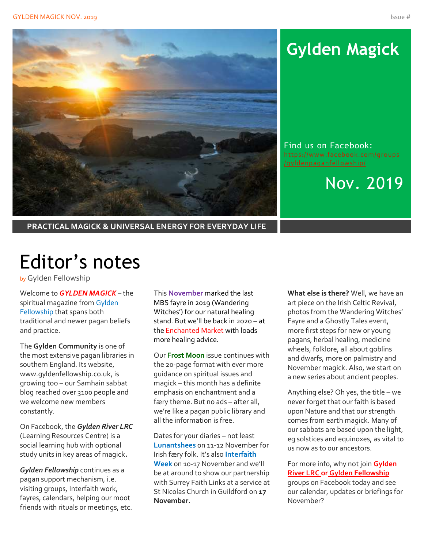

# **Gylden Magick**

Find us on Facebook: [https://www.facebook.com/groups](https://www.facebook.com/groups/gyldenpaganfellowship/)

Nov. 2019

**PRACTICAL MAGICK & UNIVERSAL ENERGY FOR EVERYDAY LIFE**

# Editor's notes

by Gylden Fellowship

Welcome to *GYLDEN MAGICK* – the spiritual magazine from Gylden Fellowship that spans both traditional and newer pagan beliefs and practice.

The **Gylden Community** is one of the most extensive pagan libraries in southern England. Its website, www.gyldenfellowship.co.uk, is growing too – our Samhain sabbat blog reached over 3100 people and we welcome new members constantly.

On Facebook, the *Gylden River LRC* (Learning Resources Centre) is a social learning hub with optional study units in key areas of magick*.*

*Gylden Fellowship* continues as a pagan support mechanism, i.e. visiting groups, Interfaith work, fayres, calendars, helping our moot friends with rituals or meetings, etc. This **November** marked the last MBS fayre in 2019 (Wandering Witches') for our natural healing stand. But we'll be back in 2020 – at the Enchanted Market with loads more healing advice.

Our **Frost Moon** issue continues with the 20-page format with ever more guidance on spiritual issues and magick – this month has a definite emphasis on enchantment and a færy theme. But no ads – after all, we're like a pagan public library and all the information is free.

Dates for your diaries – not least **Lunantshees** on 11-12 November for Irish færy folk. It's also **Interfaith Week** on 10-17 November and we'll be at around to show our partnership with Surrey Faith Links at a service at St Nicolas Church in Guildford on **17 November.**

**What else is there?** Well, we have an art piece on the Irish Celtic Revival, photos from the Wandering Witches' Fayre and a Ghostly Tales event, more first steps for new or young pagans, herbal healing, medicine wheels, folklore, all about goblins and dwarfs, more on palmistry and November magick. Also, we start on a new series about ancient peoples.

Anything else? Oh yes, the title – we never forget that our faith is based upon Nature and that our strength comes from earth magick. Many of our sabbats are based upon the light, eg solstices and equinoxes, as vital to us now as to our ancestors.

For more info, why not join **Gylden River LRC or Gylden Fellowship** groups on Facebook today and see our calendar, updates or briefings for November?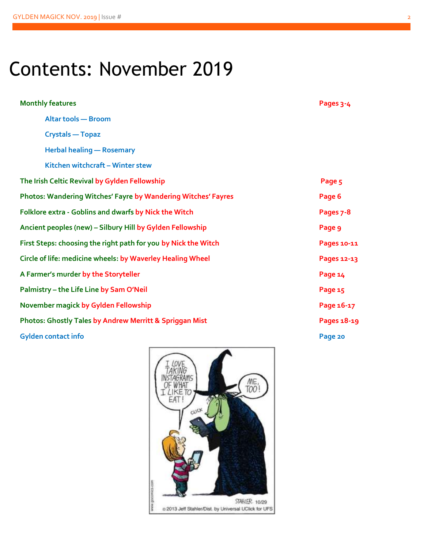# Contents: November 2019

| <b>Monthly features</b>                                              | Pages 3-4   |
|----------------------------------------------------------------------|-------------|
| <b>Altar tools - Broom</b>                                           |             |
| <b>Crystals - Topaz</b>                                              |             |
| <b>Herbal healing - Rosemary</b>                                     |             |
| Kitchen witchcraft - Winter stew                                     |             |
| The Irish Celtic Revival by Gylden Fellowship                        | Page 5      |
| <b>Photos: Wandering Witches' Fayre by Wandering Witches' Fayres</b> | Page 6      |
| Folklore extra - Goblins and dwarfs by Nick the Witch                | Pages 7-8   |
| Ancient peoples (new) - Silbury Hill by Gylden Fellowship            | Page 9      |
| First Steps: choosing the right path for you by Nick the Witch       | Pages 10-11 |
| Circle of life: medicine wheels: by Waverley Healing Wheel           | Pages 12-13 |
| A Farmer's murder by the Storyteller                                 | Page 14     |
| Palmistry - the Life Line by Sam O'Neil                              | Page 15     |
| November magick by Gylden Fellowship                                 | Page 16-17  |
| <b>Photos: Ghostly Tales by Andrew Merritt &amp; Spriggan Mist</b>   | Pages 18-19 |
| <b>Gylden contact info</b>                                           | Page 20     |

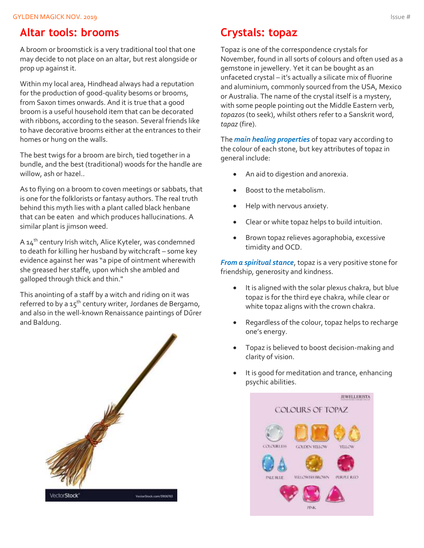### **Altar tools: brooms**

A broom or broomstick is a very traditional tool that one may decide to not place on an altar, but rest alongside or prop up against it.

Within my local area, Hindhead always had a reputation for the production of good-quality besoms or brooms, from Saxon times onwards. And it is true that a good broom is a useful household item that can be decorated with ribbons, according to the season. Several friends like to have decorative brooms either at the entrances to their homes or hung on the walls.

The best twigs for a broom are birch, tied together in a bundle, and the best (traditional) woods for the handle are willow, ash or hazel..

As to flying on a broom to coven meetings or sabbats, that is one for the folklorists or fantasy authors. The real truth behind this myth lies with a plant called black henbane that can be eaten and which produces hallucinations. A similar plant is jimson weed.

A  $14<sup>th</sup>$  century Irish witch, Alice Kyteler, was condemned to death for killing her husband by witchcraft – some key evidence against her was "a pipe of ointment wherewith she greased her staffe, upon which she ambled and galloped through thick and thin."

This anointing of a staff by a witch and riding on it was referred to by a 15th century writer, Jordanes de Bergamo, and also in the well-known Renaissance paintings of Dűrer and Baldung.



## **Crystals: topaz**

Topaz is one of the correspondence crystals for November, found in all sorts of colours and often used as a gemstone in jewellery. Yet it can be bought as an unfaceted crystal – it's actually a silicate mix of fluorine and aluminium, commonly sourced from the USA, Mexico or Australia. The name of the crystal itself is a mystery, with some people pointing out the Middle Eastern verb, *topazos*(to seek), whilst others refer to a Sanskrit word, *tapaz* (fire).

The *main healing properties* of topaz vary according to the colour of each stone, but key attributes of topaz in general include:

- An aid to digestion and anorexia.
- Boost to the metabolism.
- Help with nervous anxiety.
- Clear or white topaz helps to build intuition.
- Brown topaz relieves agoraphobia, excessive timidity and OCD.

*From a spiritual stance*, topaz is a very positive stone for friendship, generosity and kindness.

- It is aligned with the solar plexus chakra, but blue topaz is for the third eye chakra, while clear or white topaz aligns with the crown chakra.
- Regardless of the colour, topaz helps to recharge one's energy.
- Topaz is believed to boost decision-making and clarity of vision.
- It is good for meditation and trance, enhancing psychic abilities.

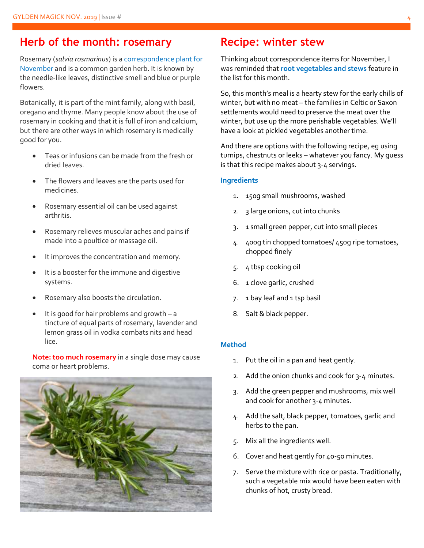### **Herb of the month: rosemary**

Rosemary (*salvia rosmarinus*) is a correspondence plant for November and is a common garden herb. It is known by the needle-like leaves, distinctive smell and blue or purple flowers.

Botanically, it is part of the mint family, along with basil, oregano and thyme. Many people know about the use of rosemary in cooking and that it is full of iron and calcium, but there are other ways in which rosemary is medically good for you.

- Teas or infusions can be made from the fresh or dried leaves.
- The flowers and leaves are the parts used for medicines.
- Rosemary essential oil can be used against arthritis.
- Rosemary relieves muscular aches and pains if made into a poultice or massage oil.
- It improves the concentration and memory.
- It is a booster for the immune and digestive systems.
- Rosemary also boosts the circulation.
- It is good for hair problems and growth  $-$  a tincture of equal parts of rosemary, lavender and lemon grass oil in vodka combats nits and head lice.

**Note: too much rosemary** in a single dose may cause coma or heart problems.



### **Recipe: winter stew**

Thinking about correspondence items for November, I was reminded that **root vegetables and stews** feature in the list for this month.

So, this month's meal is a hearty stew for the early chills of winter, but with no meat – the families in Celtic or Saxon settlements would need to preserve the meat over the winter, but use up the more perishable vegetables. We'll have a look at pickled vegetables another time.

And there are options with the following recipe, eg using turnips, chestnuts or leeks – whatever you fancy. My guess is that this recipe makes about 3-4 servings.

#### **Ingredients**

- 1. 150g small mushrooms, washed
- 2. 3 large onions, cut into chunks
- 3. 1 small green pepper, cut into small pieces
- 4. 400g tin chopped tomatoes/ 450g ripe tomatoes, chopped finely
- 5. 4 tbsp cooking oil
- 6. 1 clove garlic, crushed
- 7. 1 bay leaf and 1 tsp basil
- 8. Salt & black pepper.

#### **Method**

- 1. Put the oil in a pan and heat gently.
- 2. Add the onion chunks and cook for 3-4 minutes.
- 3. Add the green pepper and mushrooms, mix well and cook for another 3-4 minutes.
- 4. Add the salt, black pepper, tomatoes, garlic and herbs to the pan.
- 5. Mix all the ingredients well.
- 6. Cover and heat gently for 40-50 minutes.
- 7. Serve the mixture with rice or pasta. Traditionally, such a vegetable mix would have been eaten with chunks of hot, crusty bread.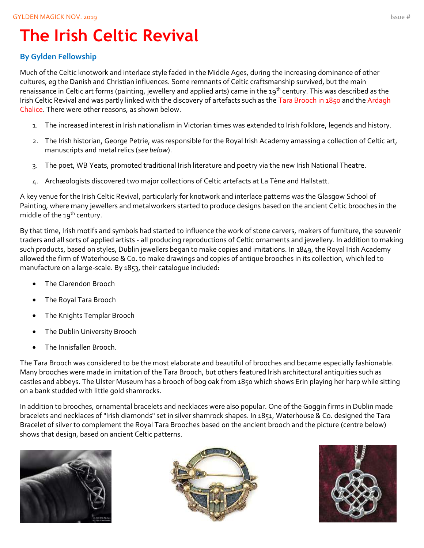# **The Irish Celtic Revival**

### **By Gylden Fellowship**

Much of the Celtic knotwork and interlace style faded in the Middle Ages, during the increasing dominance of other cultures, eg the Danish and Christian influences. Some remnants of Celtic craftsmanship survived, but the main renaissance in Celtic art forms (painting, jewellery and applied arts) came in the 19<sup>th</sup> century. This was described as the Irish Celtic Revival and was partly linked with the discovery of artefacts such as the Tara Brooch in 1850 and the Ardagh Chalice. There were other reasons, as shown below.

- 1. The increased interest in Irish nationalism in Victorian times was extended to Irish folklore, legends and history.
- 2. The Irish historian, George Petrie, was responsible for the Royal Irish Academy amassing a collection of Celtic art, manuscripts and metal relics (*see below*).
- 3. The poet, WB Yeats, promoted traditional Irish literature and poetry via the new Irish National Theatre.
- 4. Archæologists discovered two major collections of Celtic artefacts at La Tène and Hallstatt.

A key venue for the Irish Celtic Revival, particularly for knotwork and interlace patterns was the Glasgow School of Painting, where many jewellers and metalworkers started to produce designs based on the ancient Celtic brooches in the middle of the  $19<sup>th</sup>$  century.

By that time, Irish motifs and symbols had started to influence the work of stone carvers, makers of furniture, the souvenir traders and all sorts of applied artists - all producing reproductions of Celtic ornaments and jewellery. In addition to making such products, based on styles, Dublin jewellers began to make copies and imitations. In 1849, the Royal Irish Academy allowed the firm of Waterhouse & Co. to make drawings and copies of antique brooches in its collection, which led to manufacture on a large-scale. By 1853, their catalogue included:

- The Clarendon Brooch
- The Royal Tara Brooch
- The Knights Templar Brooch
- The Dublin University Brooch
- The Innisfallen Brooch.

The Tara Brooch was considered to be the most elaborate and beautiful of brooches and became especially fashionable. Many brooches were made in imitation of the Tara Brooch, but others featured Irish architectural antiquities such as castles and abbeys. The Ulster Museum has a brooch of bog oak from 1850 which shows Erin playing her harp while sitting on a bank studded with little gold shamrocks.

In addition to brooches, ornamental bracelets and necklaces were also popular. One of the Goggin firms in Dublin made bracelets and necklaces of "Irish diamonds" set in silver shamrock shapes. In 1851, Waterhouse & Co. designed the Tara Bracelet of silver to complement the Royal Tara Brooches based on the ancient brooch and the picture (centre below) shows that design, based on ancient Celtic patterns.





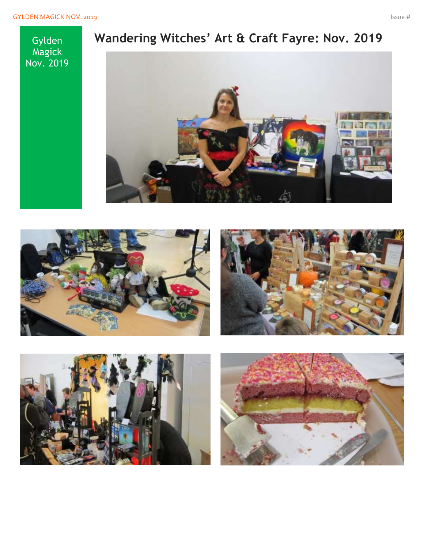Gylden Magick Nov. 2019

## **Wandering Witches' Art & Craft Fayre: Nov. 2019**







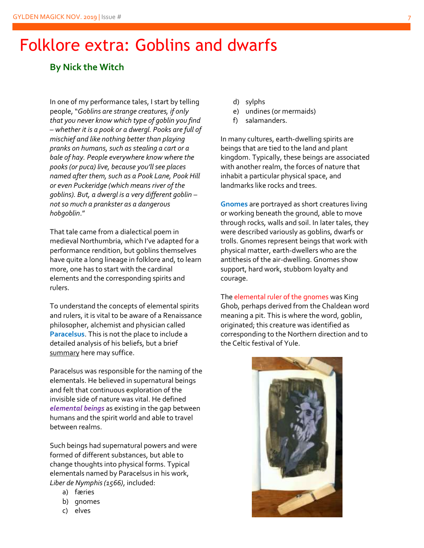## Folklore extra: Goblins and dwarfs

### **By Nick the Witch**

In one of my performance tales, I start by telling people, "*Goblins are strange creatures, if only that you never know which type of goblin you find – whether it is a pook or a dwergl. Pooks are full of mischief and like nothing better than playing pranks on humans, such as stealing a cart or a bale of hay. People everywhere know where the pooks (or puca) live, because you'll see places named after them, such as a Pook Lane, Pook Hill or even Puckeridge (which means river of the goblins). But, a dwergl is a very different goblin – not so much a prankster as a dangerous hobgoblin*."

That tale came from a dialectical poem in medieval Northumbria, which I've adapted for a performance rendition, but goblins themselves have quite a long lineage in folklore and, to learn more, one has to start with the cardinal elements and the corresponding spirits and rulers.

To understand the concepts of elemental spirits and rulers, it is vital to be aware of a Renaissance philosopher, alchemist and physician called **Paracelsus**. This is not the place to include a detailed analysis of his beliefs, but a brief summary here may suffice.

Paracelsus was responsible for the naming of the elementals. He believed in supernatural beings and felt that continuous exploration of the invisible side of nature was vital. He defined *elemental beings* as existing in the gap between humans and the spirit world and able to travel between realms.

Such beings had supernatural powers and were formed of different substances, but able to change thoughts into physical forms. Typical elementals named by Paracelsus in his work, *Liber de Nymphis (1566)*, included:

- a) færies
- b) gnomes
- c) elves
- d) sylphs
- e) undines (or mermaids)
- f) salamanders.

In many cultures, earth-dwelling spirits are beings that are tied to the land and plant kingdom. Typically, these beings are associated with another realm, the forces of nature that inhabit a particular physical space, and landmarks like rocks and trees.

**Gnomes** are portrayed as short creatures living or working beneath the ground, able to move through rocks, walls and soil. In later tales, they were described variously as goblins, dwarfs or trolls. Gnomes represent beings that work with physical matter, earth-dwellers who are the antithesis of the air-dwelling. Gnomes show support, hard work, stubborn loyalty and courage.

The elemental ruler of the gnomes was King Ghob, perhaps derived from the Chaldean word meaning a pit. This is where the word, goblin, originated; this creature was identified as corresponding to the Northern direction and to the Celtic festival of Yule.

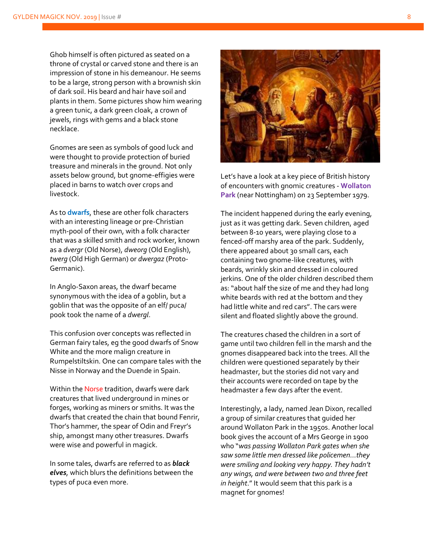Ghob himself is often pictured as seated on a throne of crystal or carved stone and there is an impression of stone in his demeanour. He seems to be a large, strong person with a brownish skin of dark soil. His beard and hair have soil and plants in them. Some pictures show him wearing a green tunic, a dark green cloak, a crown of jewels, rings with gems and a black stone necklace.

Gnomes are seen as symbols of good luck and were thought to provide protection of buried treasure and minerals in the ground. Not only assets below ground, but gnome-effigies were placed in barns to watch over crops and livestock.

As to **dwarfs**, these are other folk characters with an interesting lineage or pre-Christian myth-pool of their own, with a folk character that was a skilled smith and rock worker, known as a *dvergr* (Old Norse), *dweorg* (Old English), *twerg* (Old High German) or *dwergaz* (Proto-Germanic).

In Anglo-Saxon areas, the dwarf became synonymous with the idea of a goblin, but a goblin that was the opposite of an elf/ puca/ pook took the name of a *dwergl*.

This confusion over concepts was reflected in German fairy tales, eg the good dwarfs of Snow White and the more malign creature in Rumpelstiltskin. One can compare tales with the Nisse in Norway and the Duende in Spain.

Within the Norse tradition, dwarfs were dark creatures that lived underground in mines or forges, working as miners or smiths. It was the dwarfs that created the chain that bound Fenrir, Thor's hammer, the spear of Odin and Freyr's ship, amongst many other treasures. Dwarfs were wise and powerful in magick.

In some tales, dwarfs are referred to as *black elves*, which blurs the definitions between the types of puca even more.



Let's have a look at a key piece of British history of encounters with gnomic creatures - **Wollaton Park** (near Nottingham) on 23 September 1979.

The incident happened during the early evening, just as it was getting dark. Seven children, aged between 8-10 years, were playing close to a fenced-off marshy area of the park. Suddenly, there appeared about 30 small cars, each containing two gnome-like creatures, with beards, wrinkly skin and dressed in coloured jerkins. One of the older children described them as: "about half the size of me and they had long white beards with red at the bottom and they had little white and red cars". The cars were silent and floated slightly above the ground.

The creatures chased the children in a sort of game until two children fell in the marsh and the gnomes disappeared back into the trees. All the children were questioned separately by their headmaster, but the stories did not vary and their accounts were recorded on tape by the headmaster a few days after the event.

Interestingly, a lady, named Jean Dixon, recalled a group of similar creatures that guided her around Wollaton Park in the 1950s. Another local book gives the account of a Mrs George in 1900 who "*was passing Wollaton Park gates when she saw some little men dressed like policemen…they were smiling and looking very happy. They hadn't any wings, and were between two and three feet in height*." It would seem that this park is a magnet for gnomes!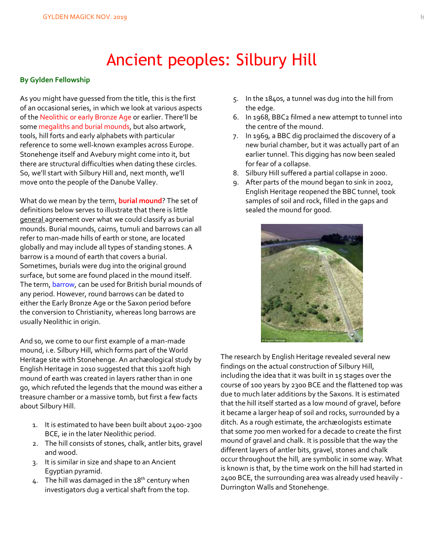## Ancient peoples: Silbury Hill

#### **By Gylden Fellowship**

As you might have guessed from the title, this is the first of an occasional series, in which we look at various aspects of the Neolithic or early Bronze Age or earlier. There'll be some megaliths and burial mounds, but also artwork, tools, hill forts and early alphabets with particular reference to some well-known examples across Europe. Stonehenge itself and Avebury might come into it, but there are structural difficulties when dating these circles. So, we'll start with Silbury Hill and, next month, we'll move onto the people of the Danube Valley.

What do we mean by the term, **burial mound**? The set of definitions below serves to illustrate that there is little general agreement over what we could classify as burial mounds. Burial mounds, cairns, tumuli and barrows can all refer to man-made hills of earth or stone, are located globally and may include all types of standing stones. A barrow is a mound of earth that covers a burial. Sometimes, burials were dug into the original ground surface, but some are found placed in the mound itself. The term, barrow, can be used for British burial mounds of any period. However, round barrows can be dated to either the Early Bronze Age or the Saxon period before the conversion to Christianity, whereas long barrows are usually Neolithic in origin.

And so, we come to our first example of a man-made mound, i.e. Silbury Hill, which forms part of the World Heritage site with Stonehenge. An archæological study by English Heritage in 2010 suggested that this 120ft high mound of earth was created in layers rather than in one go, which refuted the legends that the mound was either a treasure chamber or a massive tomb, but first a few facts about Silbury Hill.

- 1. It is estimated to have been built about 2400-2300 BCE, ie in the later Neolithic period.
- 2. The hill consists of stones, chalk, antler bits, gravel and wood.
- 3. It is similar in size and shape to an Ancient Egyptian pyramid.
- 4. The hill was damaged in the 18<sup>th</sup> century when investigators dug a vertical shaft from the top.
- 5. In the 1840s, a tunnel was dug into the hill from the edge.
- 6. In 1968, BBC2 filmed a new attempt to tunnel into the centre of the mound.
- 7. In 1969, a BBC dig proclaimed the discovery of a new burial chamber, but it was actually part of an earlier tunnel. This digging has now been sealed for fear of a collapse.
- 8. Silbury Hill suffered a partial collapse in 2000.
- 9. After parts of the mound began to sink in 2002, English Heritage reopened the BBC tunnel, took samples of soil and rock, filled in the gaps and sealed the mound for good.



The research by English Heritage revealed several new findings on the actual construction of Silbury Hill, including the idea that it was built in 15 stages over the course of 100 years by 2300 BCE and the flattened top was due to much later additions by the Saxons. It is estimated that the hill itself started as a low mound of gravel, before it became a larger heap of soil and rocks, surrounded by a ditch. As a rough estimate, the archæologists estimate that some 700 men worked for a decade to create the first mound of gravel and chalk. It is possible that the way the different layers of antler bits, gravel, stones and chalk occur throughout the hill, are symbolic in some way. What is known is that, by the time work on the hill had started in 2400 BCE, the surrounding area was already used heavily - Durrington Walls and Stonehenge.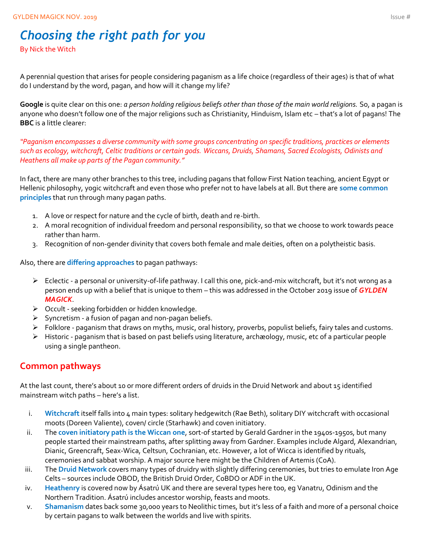## *Choosing the right path for you*

By Nick the Witch

A perennial question that arises for people considering paganism as a life choice (regardless of their ages) is that of what do I understand by the word, pagan, and how will it change my life?

**Google** is quite clear on this one: *a person holding religious beliefs other than those of the main world religions.* So, a pagan is anyone who doesn't follow one of the major religions such as Christianity, Hinduism, Islam etc – that's a lot of pagans! The **BBC** is a little clearer:

*"Paganism encompasses a diverse community with some groups concentrating on specific traditions, practices or elements such as ecology, witchcraft, Celtic traditions or certain gods. Wiccans, Druids, Shamans, Sacred Ecologists, Odinists and Heathens all make up parts of the Pagan community."*

In fact, there are many other branches to this tree, including pagans that follow First Nation teaching, ancient Egypt or Hellenic philosophy, yogic witchcraft and even those who prefer not to have labels at all. But there are **some common principles** that run through many pagan paths.

- 1. A love or respect for nature and the cycle of birth, death and re-birth.
- 2. A moral recognition of individual freedom and personal responsibility, so that we choose to work towards peace rather than harm.
- 3. Recognition of non-gender divinity that covers both female and male deities, often on a polytheistic basis.

Also, there are **differing approaches** to pagan pathways:

- ➢ Eclectic a personal or university-of-life pathway. I call this one, pick-and-mix witchcraft, but it's not wrong as a person ends up with a belief that is unique to them – this was addressed in the October 2019 issue of *GYLDEN MAGICK*.
- ➢ Occult seeking forbidden or hidden knowledge.
- $\triangleright$  Syncretism a fusion of pagan and non-pagan beliefs.
- ➢ Folklore paganism that draws on myths, music, oral history, proverbs, populist beliefs, fairy tales and customs.
- ➢ Historic paganism that is based on past beliefs using literature, archæology, music, etc of a particular people using a single pantheon.

## **Common pathways**

At the last count, there's about 10 or more different orders of druids in the Druid Network and about 15 identified mainstream witch paths – here's a list.

- i. Witchcraft itself falls into 4 main types: solitary hedgewitch (Rae Beth), solitary DIY witchcraft with occasional moots (Doreen Valiente), coven/ circle (Starhawk) and coven initiatory.
- ii. The **coven initiatory path is the Wiccan one**, sort-of started by Gerald Gardner in the 1940s-1950s, but many people started their mainstream paths, after splitting away from Gardner. Examples include Algard, Alexandrian, Dianic, Greencraft, Seax-Wica, Celtsun, Cochranian, etc. However, a lot of Wicca is identified by rituals, ceremonies and sabbat worship. A major source here might be the Children of Artemis (CoA).
- iii. The **Druid Network** covers many types of druidry with slightly differing ceremonies, but tries to emulate Iron Age Celts – sources include OBOD, the British Druid Order, CoBDO or ADF in the UK.
- iv. **Heathenry** is covered now by Ásatrú UK and there are several types here too, eg Vanatru, Odinism and the Northern Tradition. Ásatrú includes ancestor worship, feasts and moots.
- v. **Shamanism** dates back some 30,000 years to Neolithic times, but it's less of a faith and more of a personal choice by certain pagans to walk between the worlds and live with spirits.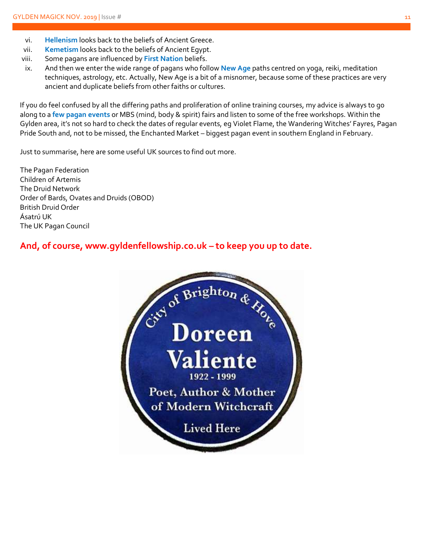- vi. **Hellenism** looks back to the beliefs of Ancient Greece.
- vii. **Kemetism** looks back to the beliefs of Ancient Egypt.
- viii. Some pagans are influenced by **First Nation** beliefs.
- ix. And then we enter the wide range of pagans who follow **New Age** paths centred on yoga, reiki, meditation techniques, astrology, etc. Actually, New Age is a bit of a misnomer, because some of these practices are very ancient and duplicate beliefs from other faiths or cultures.

If you do feel confused by all the differing paths and proliferation of online training courses, my advice is always to go along to a **few pagan events** or MBS (mind, body & spirit) fairs and listen to some of the free workshops. Within the Gylden area, it's not so hard to check the dates of regular events, eg Violet Flame, the Wandering Witches' Fayres, Pagan Pride South and, not to be missed, the Enchanted Market – biggest pagan event in southern England in February.

Just to summarise, here are some useful UK sources to find out more.

The Pagan Federation Children of Artemis The Druid Network Order of Bards, Ovates and Druids (OBOD) British Druid Order Ásatrú UK The UK Pagan Council

**And, of course, www.gyldenfellowship.co.uk – to keep you up to date.**

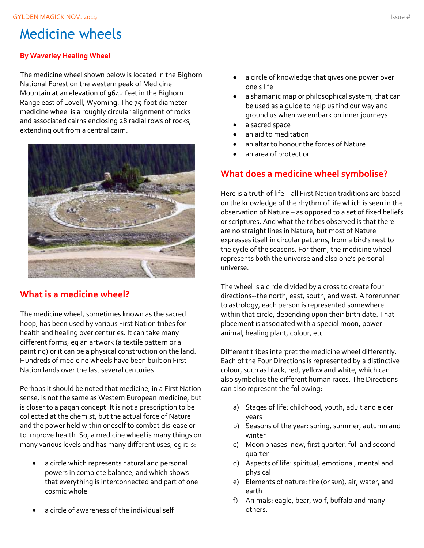## Medicine wheels

#### **By Waverley Healing Wheel**

The medicine wheel shown below is located in the Bighorn National Forest on the western peak of Medicine Mountain at an elevation of 9642 feet in the Bighorn Range east of Lovell, Wyoming. The 75-foot diameter medicine wheel is a roughly circular alignment of rocks and associated cairns enclosing 28 radial rows of rocks, extending out from a central cairn.



### **What is a medicine wheel?**

The medicine wheel, sometimes known as the sacred hoop, has been used by various First Nation tribes for health and healing over centuries. It can take many different forms, eg an artwork (a textile pattern or a painting) or it can be a physical construction on the land. Hundreds of medicine wheels have been built on First Nation lands over the last several centuries

Perhaps it should be noted that medicine, in a First Nation sense, is not the same as Western European medicine, but is closer to a pagan concept. It is not a prescription to be collected at the chemist, but the actual force of Nature and the power held within oneself to combat dis-ease or to improve health. So, a medicine wheel is many things on many various levels and has many different uses, eg it is:

- a circle which represents natural and personal powers in complete balance, and which shows that everything is interconnected and part of one cosmic whole
- a circle of awareness of the individual self
- a circle of knowledge that gives one power over one's life
- a shamanic map or philosophical system, that can be used as a guide to help us find our way and ground us when we embark on inner journeys
- a sacred space
- an aid to meditation
- an altar to honour the forces of Nature
- an area of protection.

### **What does a medicine wheel symbolise?**

Here is a truth of life – all First Nation traditions are based on the knowledge of the rhythm of life which is seen in the observation of Nature – as opposed to a set of fixed beliefs or scriptures. And what the tribes observed is that there are no straight lines in Nature, but most of Nature expresses itself in circular patterns, from a bird's nest to the cycle of the seasons. For them, the medicine wheel represents both the universe and also one's personal universe.

The wheel is a circle divided by a cross to create four directions--the north, east, south, and west. A forerunner to astrology, each person is represented somewhere within that circle, depending upon their birth date. That placement is associated with a special moon, power animal, healing plant, colour, etc.

Different tribes interpret the medicine wheel differently. Each of the Four Directions is represented by a distinctive colour, such as black, red, yellow and white, which can also symbolise the different human races. The Directions can also represent the following:

- a) Stages of life: childhood, youth, adult and elder years
- b) Seasons of the year: spring, summer, autumn and winter
- c) Moon phases: new, first quarter, full and second quarter
- d) Aspects of life: spiritual, emotional, mental and physical
- e) Elements of nature: fire (or sun), air, water, and earth
- f) Animals: eagle, bear, wolf, buffalo and many others.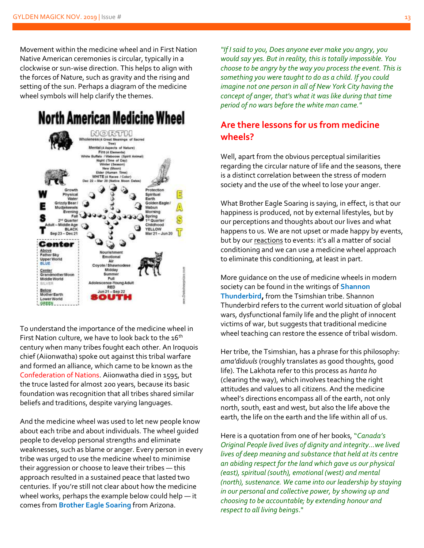Movement within the medicine wheel and in First Nation Native American ceremonies is circular, typically in a clockwise or sun-wise direction. This helps to align with the forces of Nature, such as gravity and the rising and setting of the sun. Perhaps a diagram of the medicine wheel symbols will help clarify the themes.

## **North American Medicine Wheel**



To understand the importance of the medicine wheel in First Nation culture, we have to look back to the  $16<sup>th</sup>$ century when many tribes fought each other. An Iroquois chief (Aiionwatha) spoke out against this tribal warfare and formed an alliance, which came to be known as the Confederation of Nations. Aiionwatha died in 1595, but the truce lasted for almost 200 years, because its basic foundation was recognition that all tribes shared similar beliefs and traditions, despite varying languages.

And the medicine wheel was used to let new people know about each tribe and about individuals. The wheel guided people to develop personal strengths and eliminate weaknesses, such as blame or anger. Every person in every tribe was urged to use the medicine wheel to minimise their aggression or choose to leave their tribes — this approach resulted in a sustained peace that lasted two centuries. If you're still not clear about how the medicine wheel works, perhaps the example below could help — it comes from **Brother Eagle Soaring** from Arizona.

*"If I said to you, Does anyone ever make you angry, you would say yes. But in reality, this is totally impossible. You choose to be angry by the way you process the event. This is something you were taught to do as a child. If you could imagine not one person in all of New York City having the concept of anger, that's what it was like during that time period of no wars before the white man came."*

### **Are there lessons for us from medicine wheels?**

Well, apart from the obvious perceptual similarities regarding the circular nature of life and the seasons, there is a distinct correlation between the stress of modern society and the use of the wheel to lose your anger.

What Brother Eagle Soaring is saying, in effect, is that our happiness is produced, not by external lifestyles, but by our perceptions and thoughts about our lives and what happens to us. We are not upset or made happy by events, but by our reactions to events: it's all a matter of social conditioning and we can use a medicine wheel approach to eliminate this conditioning, at least in part.

More guidance on the use of medicine wheels in modern society can be found in the writings of **Shannon Thunderbird,** from the Tsimshian tribe. Shannon Thunderbird refers to the current world situation of global wars, dysfunctional family life and the plight of innocent victims of war, but suggests that traditional medicine wheel teaching can restore the essence of tribal wisdom.

Her tribe, the Tsimshian, has a phrase for this philosophy: *ama'diduuls* (roughly translates as good thoughts, good life). The Lakhota refer to this process as *hanta ho* (clearing the way), which involves teaching the right attitudes and values to all citizens. And the medicine wheel's directions encompass all of the earth, not only north, south, east and west, but also the life above the earth, the life on the earth and the life within all of us.

Here is a quotation from one of her books, "*Canada's Original People lived lives of dignity and integrity…we lived lives of deep meaning and substance that held at its centre an abiding respect for the land which gave us our physical (east), spiritual (south), emotional (west) and mental (north), sustenance. We came into our leadership by staying in our personal and collective power, by showing up and choosing to be accountable; by extending honour and respect to all living beings*."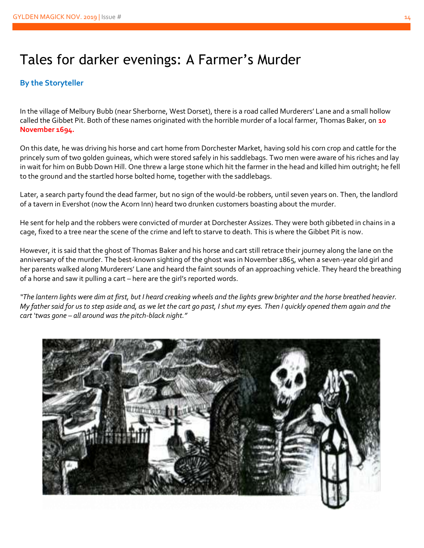## Tales for darker evenings: A Farmer's Murder

#### **By the Storyteller**

In the village of Melbury Bubb (near Sherborne, West Dorset), there is a road called Murderers' Lane and a small hollow called the Gibbet Pit. Both of these names originated with the horrible murder of a local farmer, Thomas Baker, on **10 November 1694.**

On this date, he was driving his horse and cart home from Dorchester Market, having sold his corn crop and cattle for the princely sum of two golden guineas, which were stored safely in his saddlebags. Two men were aware of his riches and lay in wait for him on Bubb Down Hill. One threw a large stone which hit the farmer in the head and killed him outright; he fell to the ground and the startled horse bolted home, together with the saddlebags.

Later, a search party found the dead farmer, but no sign of the would-be robbers, until seven years on. Then, the landlord of a tavern in Evershot (now the Acorn Inn) heard two drunken customers boasting about the murder.

He sent for help and the robbers were convicted of murder at Dorchester Assizes. They were both gibbeted in chains in a cage, fixed to a tree near the scene of the crime and left to starve to death. This is where the Gibbet Pit is now.

However, it is said that the ghost of Thomas Baker and his horse and cart still retrace their journey along the lane on the anniversary of the murder. The best-known sighting of the ghost was in November 1865, when a seven-year old girl and her parents walked along Murderers' Lane and heard the faint sounds of an approaching vehicle. They heard the breathing of a horse and saw it pulling a cart – here are the girl's reported words.

*"The lantern lights were dim at first, but I heard creaking wheels and the lights grew brighter and the horse breathed heavier. My father said for us to step aside and, as we let the cart go past, I shut my eyes. Then I quickly opened them again and the cart 'twas gone – all around was the pitch-black night."*

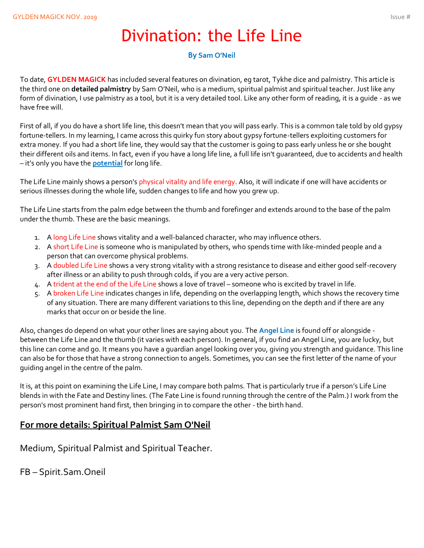## Divination: the Life Line

#### **By Sam O'Neil**

To date, **GYLDEN MAGICK** has included several features on divination, eg tarot, Tykhe dice and palmistry. This article is the third one on **detailed palmistry** by Sam O'Neil, who is a medium, spiritual palmist and spiritual teacher. Just like any form of divination, I use palmistry as a tool, but it is a very detailed tool. Like any other form of reading, it is a guide - as we have free will.

First of all, if you do have a short life line, this doesn't mean that you will pass early. This is a common tale told by old gypsy fortune-tellers. In my learning, I came across this quirky fun story about gypsy fortune-tellers exploiting customers for extra money. If you had a short life line, they would say that the customer is going to pass early unless he or she bought their different oils and items. In fact, even if you have a long life line, a full life isn't guaranteed, due to accidents and health – it's only you have the **potential** for long life.

The Life Line mainly shows a person's physical vitality and life energy. Also, it will indicate if one will have accidents or serious illnesses during the whole life, sudden changes to life and how you grew up.

The Life Line starts from the palm edge between the thumb and forefinger and extends around to the base of the palm under the thumb. These are the basic meanings.

- 1. A long Life Line shows vitality and a well-balanced character, who may influence others.
- 2. A short Life Line is someone who is manipulated by others, who spends time with like-minded people and a person that can overcome physical problems.
- 3. A doubled Life Line shows a very strong vitality with a strong resistance to disease and either good self-recovery after illness or an ability to push through colds, if you are a very active person.
- 4. A trident at the end of the Life Line shows a love of travel someone who is excited by travel in life.
- 5. A broken Life Line indicates changes in life, depending on the overlapping length, which shows the recovery time of any situation. There are many different variations to this line, depending on the depth and if there are any marks that occur on or beside the line.

Also, changes do depend on what your other lines are saying about you. The **Angel Line** is found off or alongside between the Life Line and the thumb (it varies with each person). In general, if you find an Angel Line, you are lucky, but this line can come and go. It means you have a guardian angel looking over you, giving you strength and guidance. This line can also be for those that have a strong connection to angels. Sometimes, you can see the first letter of the name of your guiding angel in the centre of the palm.

It is, at this point on examining the Life Line, I may compare both palms. That is particularly true if a person's Life Line blends in with the Fate and Destiny lines. (The Fate Line is found running through the centre of the Palm.) I work from the person's most prominent hand first, then bringing in to compare the other - the birth hand.

#### **For more details: Spiritual Palmist Sam O'Neil**

Medium, Spiritual Palmist and Spiritual Teacher.

FB – Spirit.Sam.Oneil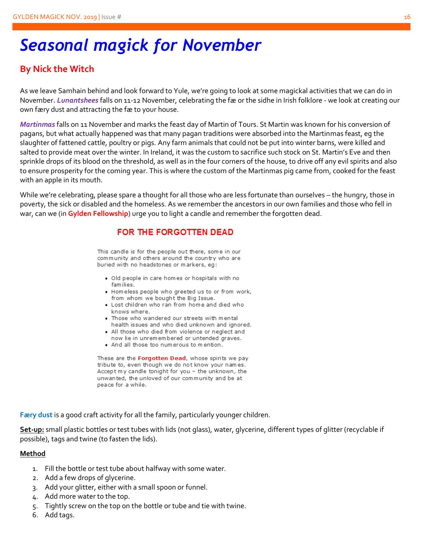## *Seasonal magick for November*

### **By Nick the Witch**

As we leave Samhain behind and look forward to Yule, we're going to look at some magickal activities that we can do in November*. Lunantshees* falls on 11-12 November, celebrating the fæ or the sidhe in Irish folklore - we look at creating our own færy dust and attracting the fæ to your house.

*Martinmas* falls on 11 November and marks the feast day of Martin of Tours. St Martin was known for his conversion of pagans, but what actually happened was that many pagan traditions were absorbed into the Martinmas feast, eg the slaughter of fattened cattle, poultry or pigs. Any farm animals that could not be put into winter barns, were killed and salted to provide meat over the winter. In Ireland, it was the custom to sacrifice such stock on St. Martin's Eve and then sprinkle drops of its blood on the threshold, as well as in the four corners of the house, to drive off any evil spirits and also to ensure prosperity for the coming year. This is where the custom of the Martinmas pig came from, cooked for the feast with an apple in its mouth.

While we're celebrating, please spare a thought for all those who are less fortunate than ourselves – the hungry, those in poverty, the sick or disabled and the homeless. As we remember the ancestors in our own families and those who fell in war, can we (in **Gylden Fellowship**) urge you to light a candle and remember the forgotten dead.

#### FOR THE FORGOTTEN DEAD

This candle is for the people out there, some in our community and others around the country who are buried with no headstones or markers, eg:

- . Old people in care homes or hospitals with no families.
- Homeless people who greeted us to or from work, from whom we bought the Big Issue.
- Lost children who ran from home and died who knows where.
- Those who wandered our streets with mental health issues and who died unknown and ignored.
- All those who died from violence or neglect and now lie in unremembered or untended graves.
- . And all those too numerous to mention.

These are the Forgotten Dead, whose spirits we pay tribute to, even though we do not know your names. Accept my candle tonight for you - the unknown, the unwanted, the unloved of our community and be at peace for a while.

**Færy dust** is a good craft activity for all the family, particularly younger children.

**Set-up:** small plastic bottles or test tubes with lids (not glass), water, glycerine, different types of glitter (recyclable if possible), tags and twine (to fasten the lids).

#### **Method**

- 1. Fill the bottle or test tube about halfway with some water.
- 2. Add a few drops of glycerine.
- 3. Add your glitter, either with a small spoon or funnel.
- 4. Add more water to the top.
- 5. Tightly screw on the top on the bottle or tube and tie with twine.
- 6. Add tags.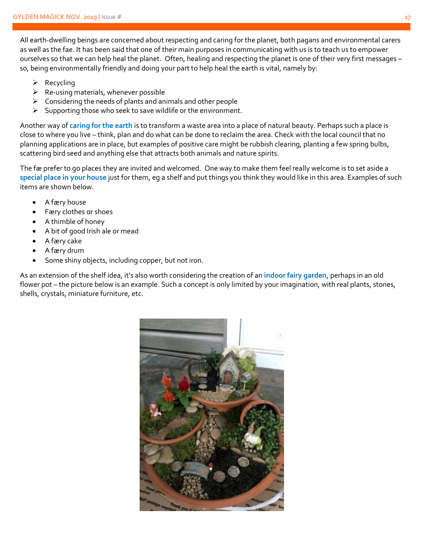All earth-dwelling beings are concerned about respecting and caring for the planet, both pagans and environmental carers as well as the fae. It has been said that one of their main purposes in communicating with us is to teach us to empower ourselves so that we can help heal the planet. Often, healing and respecting the planet is one of their very first messages – so, being environmentally friendly and doing your part to help heal the earth is vital, namely by:

- ➢ Recycling
- $\triangleright$  Re-using materials, whenever possible
- $\triangleright$  Considering the needs of plants and animals and other people
- ➢ Supporting those who seek to save wildlife or the environment.

Another way of **caring for the earth** is to transform a waste area into a place of natural beauty. Perhaps such a place is close to where you live – think, plan and do what can be done to reclaim the area. Check with the local council that no planning applications are in place, but examples of positive care might be rubbish clearing, planting a few spring bulbs, scattering bird seed and anything else that attracts both animals and nature spirits.

The fæ prefer to go places they are invited and welcomed. One way to make them feel really welcome is to set aside a **special place in your house** just for them, eg a shelf and put things you think they would like in this area. Examples of such items are shown below.

- A færy house
- Færy clothes or shoes
- A thimble of honey
- A bit of good Irish ale or mead
- A færy cake
- A færy drum
- Some shiny objects, including copper, but not iron.

As an extension of the shelf idea, it's also worth considering the creation of an **indoor fairy garden**, perhaps in an old flower pot – the picture below is an example. Such a concept is only limited by your imagination, with real plants, stones, shells, crystals, miniature furniture, etc.

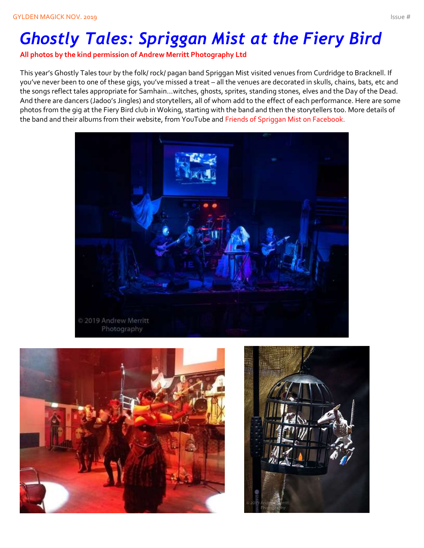# *Ghostly Tales: Spriggan Mist at the Fiery Bird*

**All photos by the kind permission of Andrew Merritt Photography Ltd**

This year's Ghostly Tales tour by the folk/ rock/ pagan band Spriggan Mist visited venues from Curdridge to Bracknell. If you've never been to one of these gigs, you've missed a treat – all the venues are decorated in skulls, chains, bats, etc and the songs reflect tales appropriate for Samhain…witches, ghosts, sprites, standing stones, elves and the Day of the Dead. And there are dancers (Jadoo's Jingles) and storytellers, all of whom add to the effect of each performance. Here are some photos from the gig at the Fiery Bird club in Woking, starting with the band and then the storytellers too. More details of the band and their albums from their website, from YouTube and Friends of Spriggan Mist on Facebook.





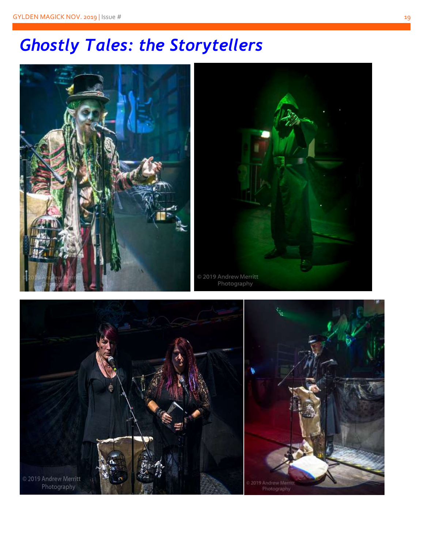# *Ghostly Tales: the Storytellers*